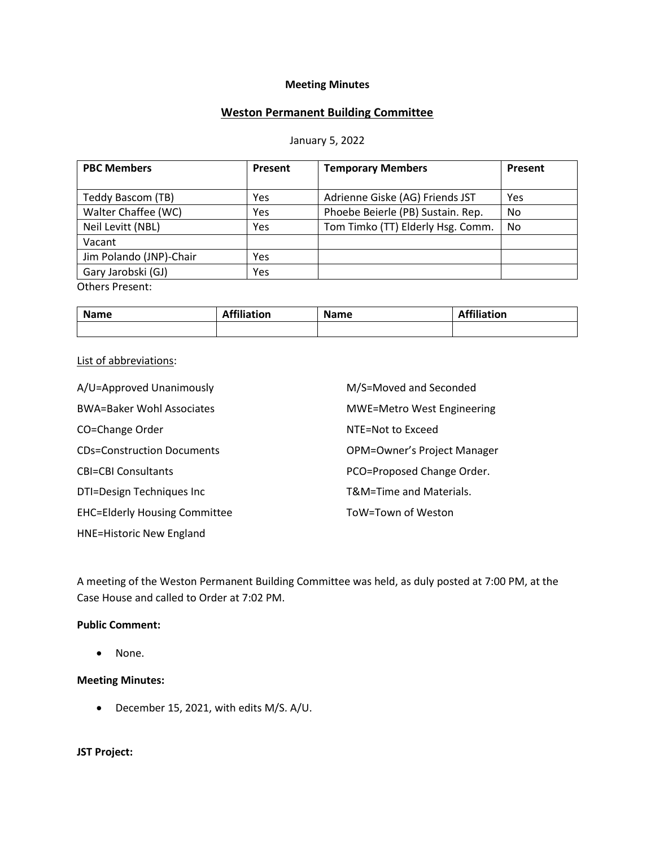#### **Meeting Minutes**

# **Weston Permanent Building Committee**

#### January 5, 2022

| <b>PBC Members</b>      | Present | <b>Temporary Members</b>          | Present |
|-------------------------|---------|-----------------------------------|---------|
|                         |         |                                   |         |
| Teddy Bascom (TB)       | Yes     | Adrienne Giske (AG) Friends JST   | Yes     |
| Walter Chaffee (WC)     | Yes     | Phoebe Beierle (PB) Sustain. Rep. | No      |
| Neil Levitt (NBL)       | Yes     | Tom Timko (TT) Elderly Hsg. Comm. | No      |
| Vacant                  |         |                                   |         |
| Jim Polando (JNP)-Chair | Yes     |                                   |         |
| Gary Jarobski (GJ)      | Yes     |                                   |         |
| <b>Others Present:</b>  |         |                                   |         |

**Name Affiliation Name Affiliation Affiliation** 

#### List of abbreviations:

| A/U=Approved Unanimously             | M/S=Moved and Seconded            |  |
|--------------------------------------|-----------------------------------|--|
| <b>BWA=Baker Wohl Associates</b>     | <b>MWE=Metro West Engineering</b> |  |
| CO=Change Order                      | NTE=Not to Exceed                 |  |
| <b>CDs=Construction Documents</b>    | OPM=Owner's Project Manager       |  |
| <b>CBI=CBI Consultants</b>           | PCO=Proposed Change Order.        |  |
| DTI=Design Techniques Inc            | T&M=Time and Materials.           |  |
| <b>EHC=Elderly Housing Committee</b> | ToW=Town of Weston                |  |
| <b>HNE=Historic New England</b>      |                                   |  |

A meeting of the Weston Permanent Building Committee was held, as duly posted at 7:00 PM, at the Case House and called to Order at 7:02 PM.

### **Public Comment:**

• None.

#### **Meeting Minutes:**

• December 15, 2021, with edits M/S. A/U.

## **JST Project:**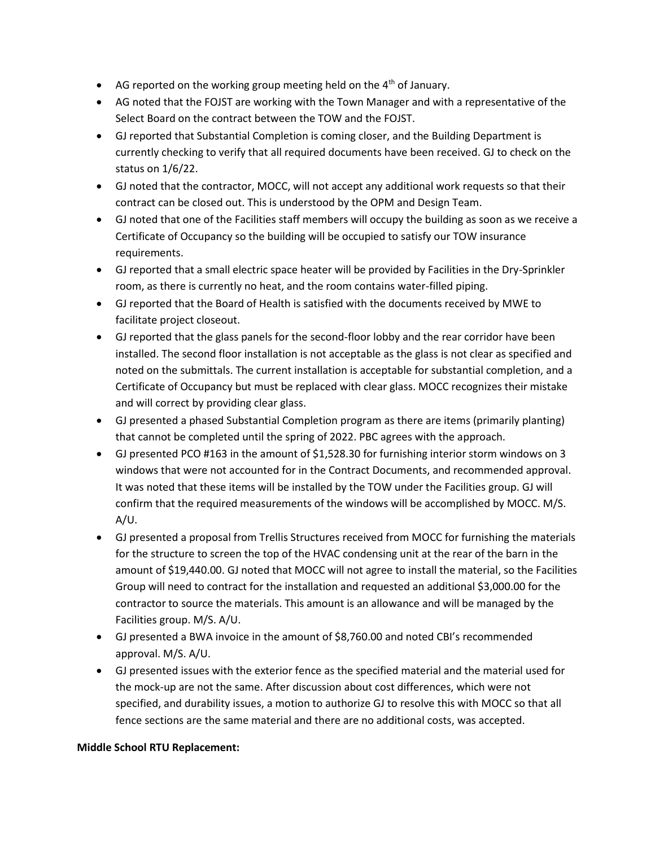- AG reported on the working group meeting held on the 4<sup>th</sup> of January.
- AG noted that the FOJST are working with the Town Manager and with a representative of the Select Board on the contract between the TOW and the FOJST.
- GJ reported that Substantial Completion is coming closer, and the Building Department is currently checking to verify that all required documents have been received. GJ to check on the status on 1/6/22.
- GJ noted that the contractor, MOCC, will not accept any additional work requests so that their contract can be closed out. This is understood by the OPM and Design Team.
- GJ noted that one of the Facilities staff members will occupy the building as soon as we receive a Certificate of Occupancy so the building will be occupied to satisfy our TOW insurance requirements.
- GJ reported that a small electric space heater will be provided by Facilities in the Dry-Sprinkler room, as there is currently no heat, and the room contains water-filled piping.
- GJ reported that the Board of Health is satisfied with the documents received by MWE to facilitate project closeout.
- GJ reported that the glass panels for the second-floor lobby and the rear corridor have been installed. The second floor installation is not acceptable as the glass is not clear as specified and noted on the submittals. The current installation is acceptable for substantial completion, and a Certificate of Occupancy but must be replaced with clear glass. MOCC recognizes their mistake and will correct by providing clear glass.
- GJ presented a phased Substantial Completion program as there are items (primarily planting) that cannot be completed until the spring of 2022. PBC agrees with the approach.
- GJ presented PCO #163 in the amount of \$1,528.30 for furnishing interior storm windows on 3 windows that were not accounted for in the Contract Documents, and recommended approval. It was noted that these items will be installed by the TOW under the Facilities group. GJ will confirm that the required measurements of the windows will be accomplished by MOCC. M/S. A/U.
- GJ presented a proposal from Trellis Structures received from MOCC for furnishing the materials for the structure to screen the top of the HVAC condensing unit at the rear of the barn in the amount of \$19,440.00. GJ noted that MOCC will not agree to install the material, so the Facilities Group will need to contract for the installation and requested an additional \$3,000.00 for the contractor to source the materials. This amount is an allowance and will be managed by the Facilities group. M/S. A/U.
- GJ presented a BWA invoice in the amount of \$8,760.00 and noted CBI's recommended approval. M/S. A/U.
- GJ presented issues with the exterior fence as the specified material and the material used for the mock-up are not the same. After discussion about cost differences, which were not specified, and durability issues, a motion to authorize GJ to resolve this with MOCC so that all fence sections are the same material and there are no additional costs, was accepted.

# **Middle School RTU Replacement:**